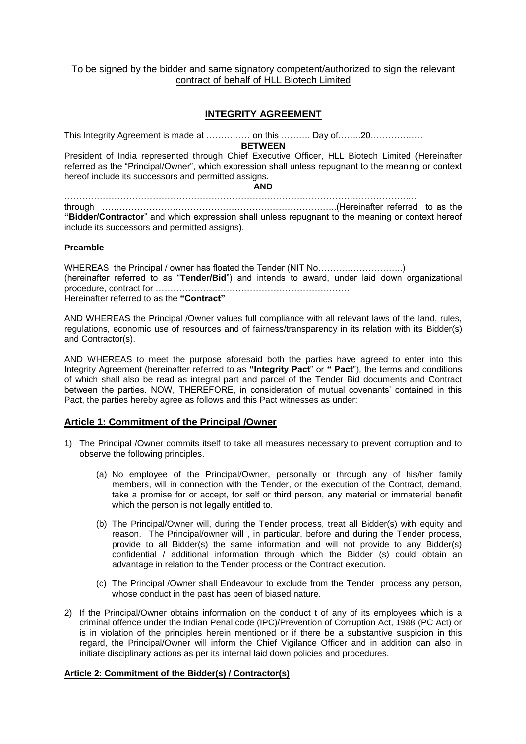## To be signed by the bidder and same signatory competent/authorized to sign the relevant contract of behalf of HLL Biotech Limited

# **INTEGRITY AGREEMENT**

This Integrity Agreement is made at …………… on this ………. Day of……..20………………

**BETWEEN**

President of India represented through Chief Executive Officer, HLL Biotech Limited (Hereinafter referred as the "Principal/Owner", which expression shall unless repugnant to the meaning or context hereof include its successors and permitted assigns.

#### **AND**

………………………………………………………………………………………………………… through ……………………………………………………………………..(Hereinafter referred to as the **"Bidder/Contractor**" and which expression shall unless repugnant to the meaning or context hereof include its successors and permitted assigns).

### **Preamble**

WHEREAS the Principal / owner has floated the Tender (NIT No...............................) (hereinafter referred to as "Tender/Bid") and intends to award, under laid down organizational procedure, contract for ………………………………………………………… Hereinafter referred to as the **"Contract"**

AND WHEREAS the Principal /Owner values full compliance with all relevant laws of the land, rules, regulations, economic use of resources and of fairness/transparency in its relation with its Bidder(s) and Contractor(s).

AND WHEREAS to meet the purpose aforesaid both the parties have agreed to enter into this Integrity Agreement (hereinafter referred to as **"Integrity Pact**" or **" Pact**"), the terms and conditions of which shall also be read as integral part and parcel of the Tender Bid documents and Contract between the parties. NOW, THEREFORE, in consideration of mutual covenants' contained in this Pact, the parties hereby agree as follows and this Pact witnesses as under:

# **Article 1: Commitment of the Principal /Owner**

- 1) The Principal /Owner commits itself to take all measures necessary to prevent corruption and to observe the following principles.
	- (a) No employee of the Principal/Owner, personally or through any of his/her family members, will in connection with the Tender, or the execution of the Contract, demand, take a promise for or accept, for self or third person, any material or immaterial benefit which the person is not legally entitled to.
	- (b) The Principal/Owner will, during the Tender process, treat all Bidder(s) with equity and reason. The Principal/owner will , in particular, before and during the Tender process, provide to all Bidder(s) the same information and will not provide to any Bidder(s) confidential / additional information through which the Bidder (s) could obtain an advantage in relation to the Tender process or the Contract execution.
	- (c) The Principal /Owner shall Endeavour to exclude from the Tender process any person, whose conduct in the past has been of biased nature.
- 2) If the Principal/Owner obtains information on the conduct t of any of its employees which is a criminal offence under the Indian Penal code (IPC)/Prevention of Corruption Act, 1988 (PC Act) or is in violation of the principles herein mentioned or if there be a substantive suspicion in this regard, the Principal/Owner will inform the Chief Vigilance Officer and in addition can also in initiate disciplinary actions as per its internal laid down policies and procedures.

#### **Article 2: Commitment of the Bidder(s) / Contractor(s)**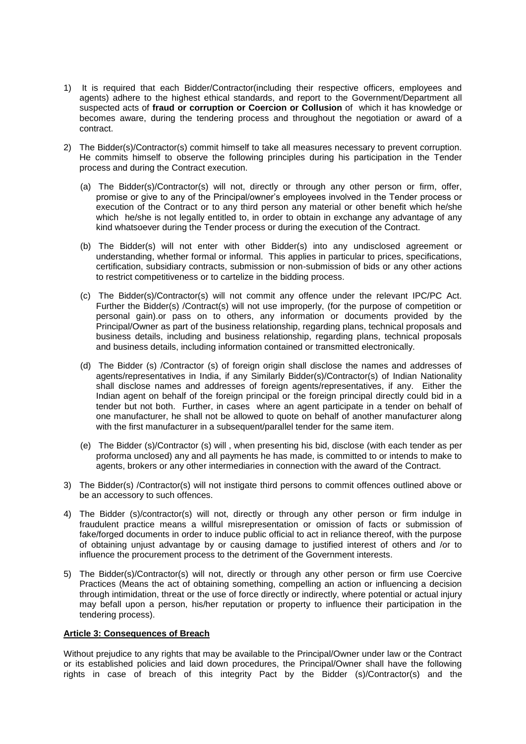- 1) It is required that each Bidder/Contractor(including their respective officers, employees and agents) adhere to the highest ethical standards, and report to the Government/Department all suspected acts of **fraud or corruption or Coercion or Collusion** of which it has knowledge or becomes aware, during the tendering process and throughout the negotiation or award of a contract.
- 2) The Bidder(s)/Contractor(s) commit himself to take all measures necessary to prevent corruption. He commits himself to observe the following principles during his participation in the Tender process and during the Contract execution.
	- (a) The Bidder(s)/Contractor(s) will not, directly or through any other person or firm, offer, promise or give to any of the Principal/owner's employees involved in the Tender process or execution of the Contract or to any third person any material or other benefit which he/she which he/she is not legally entitled to, in order to obtain in exchange any advantage of any kind whatsoever during the Tender process or during the execution of the Contract.
	- (b) The Bidder(s) will not enter with other Bidder(s) into any undisclosed agreement or understanding, whether formal or informal. This applies in particular to prices, specifications, certification, subsidiary contracts, submission or non-submission of bids or any other actions to restrict competitiveness or to cartelize in the bidding process.
	- (c) The Bidder(s)/Contractor(s) will not commit any offence under the relevant IPC/PC Act. Further the Bidder(s) /Contract(s) will not use improperly, (for the purpose of competition or personal gain).or pass on to others, any information or documents provided by the Principal/Owner as part of the business relationship, regarding plans, technical proposals and business details, including and business relationship, regarding plans, technical proposals and business details, including information contained or transmitted electronically.
	- (d) The Bidder (s) /Contractor (s) of foreign origin shall disclose the names and addresses of agents/representatives in India, if any Similarly Bidder(s)/Contractor(s) of Indian Nationality shall disclose names and addresses of foreign agents/representatives, if any. Either the Indian agent on behalf of the foreign principal or the foreign principal directly could bid in a tender but not both. Further, in cases where an agent participate in a tender on behalf of one manufacturer, he shall not be allowed to quote on behalf of another manufacturer along with the first manufacturer in a subsequent/parallel tender for the same item.
	- (e) The Bidder (s)/Contractor (s) will , when presenting his bid, disclose (with each tender as per proforma unclosed) any and all payments he has made, is committed to or intends to make to agents, brokers or any other intermediaries in connection with the award of the Contract.
- 3) The Bidder(s) /Contractor(s) will not instigate third persons to commit offences outlined above or be an accessory to such offences.
- 4) The Bidder (s)/contractor(s) will not, directly or through any other person or firm indulge in fraudulent practice means a willful misrepresentation or omission of facts or submission of fake/forged documents in order to induce public official to act in reliance thereof, with the purpose of obtaining unjust advantage by or causing damage to justified interest of others and /or to influence the procurement process to the detriment of the Government interests.
- 5) The Bidder(s)/Contractor(s) will not, directly or through any other person or firm use Coercive Practices (Means the act of obtaining something, compelling an action or influencing a decision through intimidation, threat or the use of force directly or indirectly, where potential or actual injury may befall upon a person, his/her reputation or property to influence their participation in the tendering process).

#### **Article 3: Consequences of Breach**

Without prejudice to any rights that may be available to the Principal/Owner under law or the Contract or its established policies and laid down procedures, the Principal/Owner shall have the following rights in case of breach of this integrity Pact by the Bidder (s)/Contractor(s) and the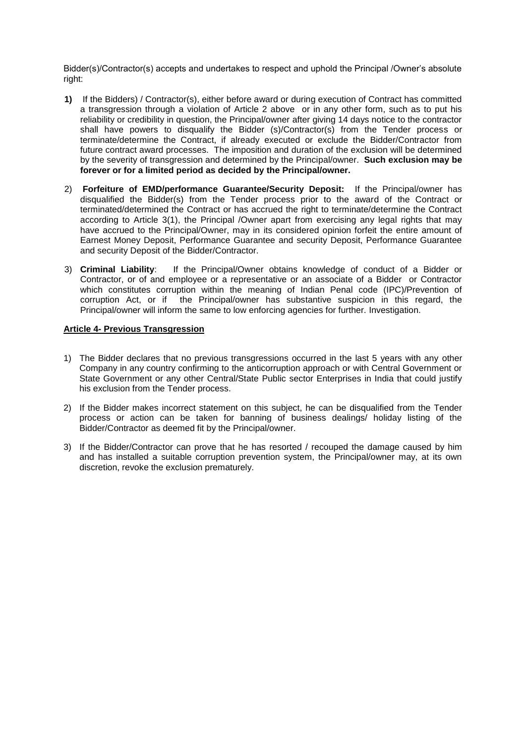Bidder(s)/Contractor(s) accepts and undertakes to respect and uphold the Principal /Owner's absolute right:

- **1)** If the Bidders) / Contractor(s), either before award or during execution of Contract has committed a transgression through a violation of Article 2 above or in any other form, such as to put his reliability or credibility in question, the Principal/owner after giving 14 days notice to the contractor shall have powers to disqualify the Bidder (s)/Contractor(s) from the Tender process or terminate/determine the Contract, if already executed or exclude the Bidder/Contractor from future contract award processes. The imposition and duration of the exclusion will be determined by the severity of transgression and determined by the Principal/owner. **Such exclusion may be forever or for a limited period as decided by the Principal/owner.**
- 2) **Forfeiture of EMD/performance Guarantee/Security Deposit:** If the Principal/owner has disqualified the Bidder(s) from the Tender process prior to the award of the Contract or terminated/determined the Contract or has accrued the right to terminate/determine the Contract according to Article 3(1), the Principal /Owner apart from exercising any legal rights that may have accrued to the Principal/Owner, may in its considered opinion forfeit the entire amount of Earnest Money Deposit, Performance Guarantee and security Deposit, Performance Guarantee and security Deposit of the Bidder/Contractor.
- 3) **Criminal Liability**: If the Principal/Owner obtains knowledge of conduct of a Bidder or Contractor, or of and employee or a representative or an associate of a Bidder or Contractor which constitutes corruption within the meaning of Indian Penal code (IPC)/Prevention of corruption Act, or if the Principal/owner has substantive suspicion in this regard, the Principal/owner will inform the same to low enforcing agencies for further. Investigation.

### **Article 4- Previous Transgression**

- 1) The Bidder declares that no previous transgressions occurred in the last 5 years with any other Company in any country confirming to the anticorruption approach or with Central Government or State Government or any other Central/State Public sector Enterprises in India that could justify his exclusion from the Tender process.
- 2) If the Bidder makes incorrect statement on this subject, he can be disqualified from the Tender process or action can be taken for banning of business dealings/ holiday listing of the Bidder/Contractor as deemed fit by the Principal/owner.
- 3) If the Bidder/Contractor can prove that he has resorted / recouped the damage caused by him and has installed a suitable corruption prevention system, the Principal/owner may, at its own discretion, revoke the exclusion prematurely.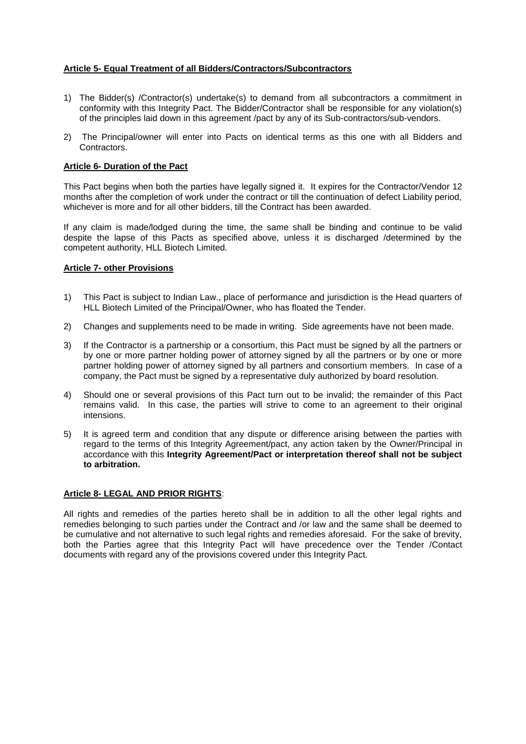# **Article 5- Equal Treatment of all Bidders/Contractors/Subcontractors**

- 1) The Bidder(s) /Contractor(s) undertake(s) to demand from all subcontractors a commitment in conformity with this Integrity Pact. The Bidder/Contractor shall be responsible for any violation(s) of the principles laid down in this agreement /pact by any of its Sub-contractors/sub-vendors.
- 2) The Principal/owner will enter into Pacts on identical terms as this one with all Bidders and Contractors.

## **Article 6- Duration of the Pact**

This Pact begins when both the parties have legally signed it. It expires for the Contractor/Vendor 12 months after the completion of work under the contract or till the continuation of defect Liability period, whichever is more and for all other bidders, till the Contract has been awarded.

If any claim is made/lodged during the time, the same shall be binding and continue to be valid despite the lapse of this Pacts as specified above, unless it is discharged /determined by the competent authority, HLL Biotech Limited.

### **Article 7- other Provisions**

- 1) This Pact is subject to Indian Law., place of performance and jurisdiction is the Head quarters of HLL Biotech Limited of the Principal/Owner, who has floated the Tender.
- 2) Changes and supplements need to be made in writing. Side agreements have not been made.
- 3) If the Contractor is a partnership or a consortium, this Pact must be signed by all the partners or by one or more partner holding power of attorney signed by all the partners or by one or more partner holding power of attorney signed by all partners and consortium members. In case of a company, the Pact must be signed by a representative duly authorized by board resolution.
- 4) Should one or several provisions of this Pact turn out to be invalid; the remainder of this Pact remains valid. In this case, the parties will strive to come to an agreement to their original intensions.
- 5) It is agreed term and condition that any dispute or difference arising between the parties with regard to the terms of this Integrity Agreement/pact, any action taken by the Owner/Principal in accordance with this **Integrity Agreement/Pact or interpretation thereof shall not be subject to arbitration.**

# **Article 8- LEGAL AND PRIOR RIGHTS**:

All rights and remedies of the parties hereto shall be in addition to all the other legal rights and remedies belonging to such parties under the Contract and /or law and the same shall be deemed to be cumulative and not alternative to such legal rights and remedies aforesaid. For the sake of brevity, both the Parties agree that this Integrity Pact will have precedence over the Tender /Contact documents with regard any of the provisions covered under this Integrity Pact.